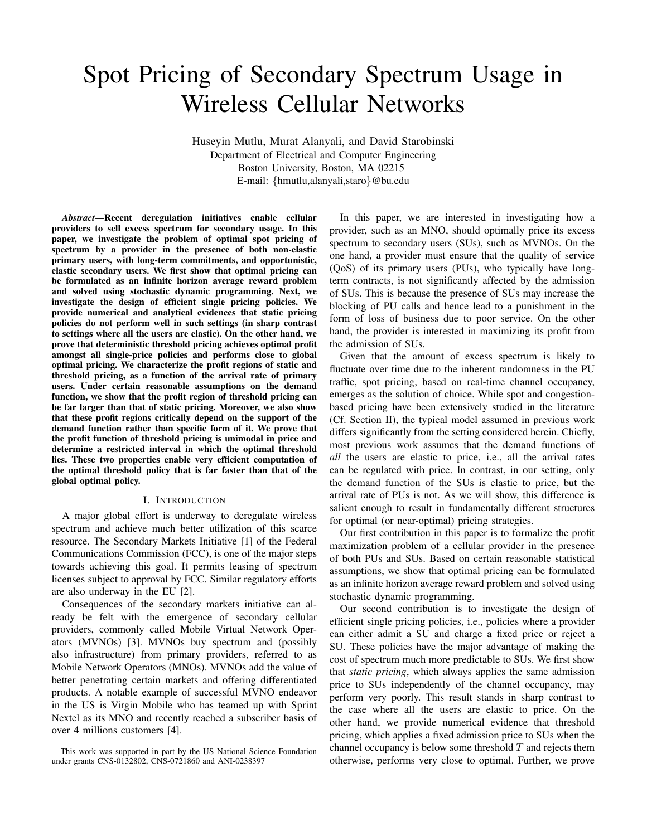# Spot Pricing of Secondary Spectrum Usage in Wireless Cellular Networks

Huseyin Mutlu, Murat Alanyali, and David Starobinski Department of Electrical and Computer Engineering Boston University, Boston, MA 02215 E-mail: {hmutlu,alanyali,staro}@bu.edu

*Abstract***—Recent deregulation initiatives enable cellular providers to sell excess spectrum for secondary usage. In this paper, we investigate the problem of optimal spot pricing of spectrum by a provider in the presence of both non-elastic primary users, with long-term commitments, and opportunistic, elastic secondary users. We first show that optimal pricing can be formulated as an infinite horizon average reward problem and solved using stochastic dynamic programming. Next, we investigate the design of efficient single pricing policies. We provide numerical and analytical evidences that static pricing policies do not perform well in such settings (in sharp contrast to settings where all the users are elastic). On the other hand, we prove that deterministic threshold pricing achieves optimal profit amongst all single-price policies and performs close to global optimal pricing. We characterize the profit regions of static and threshold pricing, as a function of the arrival rate of primary users. Under certain reasonable assumptions on the demand function, we show that the profit region of threshold pricing can be far larger than that of static pricing. Moreover, we also show that these profit regions critically depend on the support of the demand function rather than specific form of it. We prove that the profit function of threshold pricing is unimodal in price and determine a restricted interval in which the optimal threshold lies. These two properties enable very efficient computation of the optimal threshold policy that is far faster than that of the global optimal policy.**

#### I. INTRODUCTION

A major global effort is underway to deregulate wireless spectrum and achieve much better utilization of this scarce resource. The Secondary Markets Initiative [1] of the Federal Communications Commission (FCC), is one of the major steps towards achieving this goal. It permits leasing of spectrum licenses subject to approval by FCC. Similar regulatory efforts are also underway in the EU [2].

Consequences of the secondary markets initiative can already be felt with the emergence of secondary cellular providers, commonly called Mobile Virtual Network Operators (MVNOs) [3]. MVNOs buy spectrum and (possibly also infrastructure) from primary providers, referred to as Mobile Network Operators (MNOs). MVNOs add the value of better penetrating certain markets and offering differentiated products. A notable example of successful MVNO endeavor in the US is Virgin Mobile who has teamed up with Sprint Nextel as its MNO and recently reached a subscriber basis of over 4 millions customers [4].

In this paper, we are interested in investigating how a provider, such as an MNO, should optimally price its excess spectrum to secondary users (SUs), such as MVNOs. On the one hand, a provider must ensure that the quality of service (QoS) of its primary users (PUs), who typically have longterm contracts, is not significantly affected by the admission of SUs. This is because the presence of SUs may increase the blocking of PU calls and hence lead to a punishment in the form of loss of business due to poor service. On the other hand, the provider is interested in maximizing its profit from the admission of SUs.

Given that the amount of excess spectrum is likely to fluctuate over time due to the inherent randomness in the PU traffic, spot pricing, based on real-time channel occupancy, emerges as the solution of choice. While spot and congestionbased pricing have been extensively studied in the literature (Cf. Section II), the typical model assumed in previous work differs significantly from the setting considered herein. Chiefly, most previous work assumes that the demand functions of *all* the users are elastic to price, i.e., all the arrival rates can be regulated with price. In contrast, in our setting, only the demand function of the SUs is elastic to price, but the arrival rate of PUs is not. As we will show, this difference is salient enough to result in fundamentally different structures for optimal (or near-optimal) pricing strategies.

Our first contribution in this paper is to formalize the profit maximization problem of a cellular provider in the presence of both PUs and SUs. Based on certain reasonable statistical assumptions, we show that optimal pricing can be formulated as an infinite horizon average reward problem and solved using stochastic dynamic programming.

Our second contribution is to investigate the design of efficient single pricing policies, i.e., policies where a provider can either admit a SU and charge a fixed price or reject a SU. These policies have the major advantage of making the cost of spectrum much more predictable to SUs. We first show that *static pricing*, which always applies the same admission price to SUs independently of the channel occupancy, may perform very poorly. This result stands in sharp contrast to the case where all the users are elastic to price. On the other hand, we provide numerical evidence that threshold pricing, which applies a fixed admission price to SUs when the channel occupancy is below some threshold  $T$  and rejects them otherwise, performs very close to optimal. Further, we prove

This work was supported in part by the US National Science Foundation under grants CNS-0132802, CNS-0721860 and ANI-0238397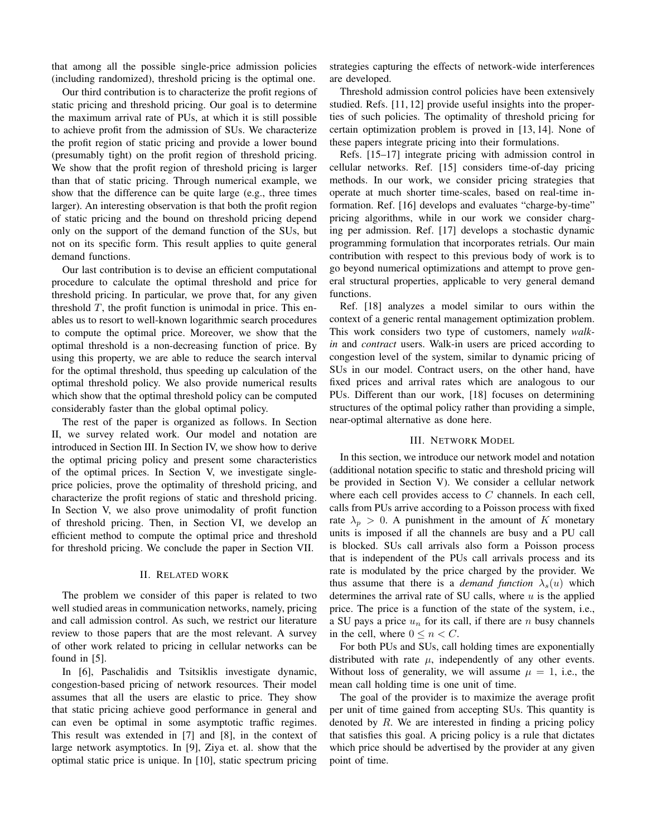that among all the possible single-price admission policies (including randomized), threshold pricing is the optimal one.

Our third contribution is to characterize the profit regions of static pricing and threshold pricing. Our goal is to determine the maximum arrival rate of PUs, at which it is still possible to achieve profit from the admission of SUs. We characterize the profit region of static pricing and provide a lower bound (presumably tight) on the profit region of threshold pricing. We show that the profit region of threshold pricing is larger than that of static pricing. Through numerical example, we show that the difference can be quite large (e.g., three times larger). An interesting observation is that both the profit region of static pricing and the bound on threshold pricing depend only on the support of the demand function of the SUs, but not on its specific form. This result applies to quite general demand functions.

Our last contribution is to devise an efficient computational procedure to calculate the optimal threshold and price for threshold pricing. In particular, we prove that, for any given threshold  $T$ , the profit function is unimodal in price. This enables us to resort to well-known logarithmic search procedures to compute the optimal price. Moreover, we show that the optimal threshold is a non-decreasing function of price. By using this property, we are able to reduce the search interval for the optimal threshold, thus speeding up calculation of the optimal threshold policy. We also provide numerical results which show that the optimal threshold policy can be computed considerably faster than the global optimal policy.

The rest of the paper is organized as follows. In Section II, we survey related work. Our model and notation are introduced in Section III. In Section IV, we show how to derive the optimal pricing policy and present some characteristics of the optimal prices. In Section V, we investigate singleprice policies, prove the optimality of threshold pricing, and characterize the profit regions of static and threshold pricing. In Section V, we also prove unimodality of profit function of threshold pricing. Then, in Section VI, we develop an efficient method to compute the optimal price and threshold for threshold pricing. We conclude the paper in Section VII.

# II. RELATED WORK

The problem we consider of this paper is related to two well studied areas in communication networks, namely, pricing and call admission control. As such, we restrict our literature review to those papers that are the most relevant. A survey of other work related to pricing in cellular networks can be found in [5].

In [6], Paschalidis and Tsitsiklis investigate dynamic, congestion-based pricing of network resources. Their model assumes that all the users are elastic to price. They show that static pricing achieve good performance in general and can even be optimal in some asymptotic traffic regimes. This result was extended in [7] and [8], in the context of large network asymptotics. In [9], Ziya et. al. show that the optimal static price is unique. In [10], static spectrum pricing strategies capturing the effects of network-wide interferences are developed.

Threshold admission control policies have been extensively studied. Refs. [11, 12] provide useful insights into the properties of such policies. The optimality of threshold pricing for certain optimization problem is proved in [13, 14]. None of these papers integrate pricing into their formulations.

Refs. [15–17] integrate pricing with admission control in cellular networks. Ref. [15] considers time-of-day pricing methods. In our work, we consider pricing strategies that operate at much shorter time-scales, based on real-time information. Ref. [16] develops and evaluates "charge-by-time" pricing algorithms, while in our work we consider charging per admission. Ref. [17] develops a stochastic dynamic programming formulation that incorporates retrials. Our main contribution with respect to this previous body of work is to go beyond numerical optimizations and attempt to prove general structural properties, applicable to very general demand functions.

Ref. [18] analyzes a model similar to ours within the context of a generic rental management optimization problem. This work considers two type of customers, namely *walkin* and *contract* users. Walk-in users are priced according to congestion level of the system, similar to dynamic pricing of SUs in our model. Contract users, on the other hand, have fixed prices and arrival rates which are analogous to our PUs. Different than our work, [18] focuses on determining structures of the optimal policy rather than providing a simple, near-optimal alternative as done here.

## III. NETWORK MODEL

In this section, we introduce our network model and notation (additional notation specific to static and threshold pricing will be provided in Section V). We consider a cellular network where each cell provides access to  $C$  channels. In each cell, calls from PUs arrive according to a Poisson process with fixed rate  $\lambda_p > 0$ . A punishment in the amount of K monetary units is imposed if all the channels are busy and a PU call is blocked. SUs call arrivals also form a Poisson process that is independent of the PUs call arrivals process and its rate is modulated by the price charged by the provider. We thus assume that there is a *demand function*  $\lambda_s(u)$  which determines the arrival rate of SU calls, where  $u$  is the applied price. The price is a function of the state of the system, i.e., a SU pays a price  $u_n$  for its call, if there are n busy channels in the cell, where  $0 \le n \le C$ .

For both PUs and SUs, call holding times are exponentially distributed with rate  $\mu$ , independently of any other events. Without loss of generality, we will assume  $\mu = 1$ , i.e., the mean call holding time is one unit of time.

The goal of the provider is to maximize the average profit per unit of time gained from accepting SUs. This quantity is denoted by  $R$ . We are interested in finding a pricing policy that satisfies this goal. A pricing policy is a rule that dictates which price should be advertised by the provider at any given point of time.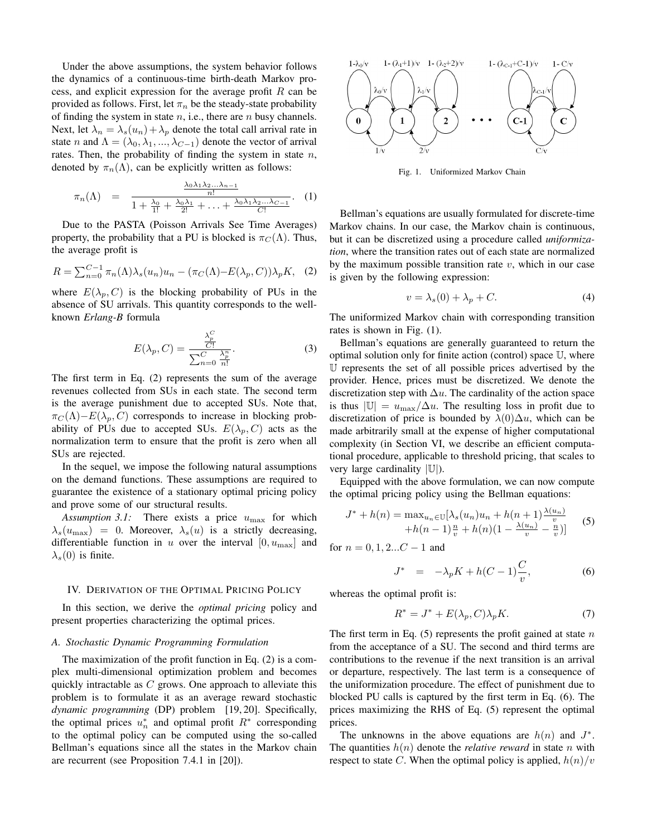Under the above assumptions, the system behavior follows the dynamics of a continuous-time birth-death Markov process, and explicit expression for the average profit  $R$  can be provided as follows. First, let  $\pi_n$  be the steady-state probability of finding the system in state  $n$ , i.e., there are  $n$  busy channels. Next, let  $\lambda_n = \lambda_s(u_n) + \lambda_p$  denote the total call arrival rate in state *n* and  $\Lambda = (\lambda_0, \lambda_1, ..., \lambda_{C-1})$  denote the vector of arrival rates. Then, the probability of finding the system in state  $n$ , denoted by  $\pi_n(\Lambda)$ , can be explicitly written as follows:

$$
\pi_n(\Lambda) = \frac{\frac{\lambda_0 \lambda_1 \lambda_2 \ldots \lambda_{n-1}}{n!}}{1 + \frac{\lambda_0}{1!} + \frac{\lambda_0 \lambda_1}{2!} + \ldots + \frac{\lambda_0 \lambda_1 \lambda_2 \ldots \lambda_{C-1}}{C!}}.
$$
 (1)

Due to the PASTA (Poisson Arrivals See Time Averages) property, the probability that a PU is blocked is  $\pi_C(\Lambda)$ . Thus, the average profit is

$$
R = \sum_{n=0}^{C-1} \pi_n(\Lambda) \lambda_s(u_n) u_n - (\pi_C(\Lambda) - E(\lambda_p, C)) \lambda_p K, \quad (2)
$$

where  $E(\lambda_p, C)$  is the blocking probability of PUs in the absence of SU arrivals. This quantity corresponds to the wellknown *Erlang-B* formula

$$
E(\lambda_p, C) = \frac{\frac{\lambda_p^C}{C!}}{\sum_{n=0}^C \frac{\lambda_p^n}{n!}}.
$$
 (3)

The first term in Eq. (2) represents the sum of the average revenues collected from SUs in each state. The second term is the average punishment due to accepted SUs. Note that,  $\pi_C(\Lambda)$ – $E(\lambda_p, C)$  corresponds to increase in blocking probability of PUs due to accepted SUs.  $E(\lambda_p, C)$  acts as the normalization term to ensure that the profit is zero when all SUs are rejected.

In the sequel, we impose the following natural assumptions on the demand functions. These assumptions are required to guarantee the existence of a stationary optimal pricing policy and prove some of our structural results.

*Assumption 3.1:* There exists a price  $u_{\text{max}}$  for which  $\lambda_s(u_{\text{max}})=0$ . Moreover,  $\lambda_s(u)$  is a strictly decreasing, differentiable function in u over the interval  $[0, u_{\text{max}}]$  and  $\lambda_s(0)$  is finite.

## IV. DERIVATION OF THE OPTIMAL PRICING POLICY

In this section, we derive the *optimal pricing* policy and present properties characterizing the optimal prices.

## *A. Stochastic Dynamic Programming Formulation*

The maximization of the profit function in Eq. (2) is a complex multi-dimensional optimization problem and becomes quickly intractable as  $C$  grows. One approach to alleviate this problem is to formulate it as an average reward stochastic *dynamic programming* (DP) problem [19, 20]. Specifically, the optimal prices  $u_n^*$  and optimal profit  $R^*$  corresponding to the optimal policy can be computed using the so-called Bellman's equations since all the states in the Markov chain are recurrent (see Proposition 7.4.1 in [20]).



Fig. 1. Uniformized Markov Chain

Bellman's equations are usually formulated for discrete-time Markov chains. In our case, the Markov chain is continuous, but it can be discretized using a procedure called *uniformization*, where the transition rates out of each state are normalized by the maximum possible transition rate  $v$ , which in our case is given by the following expression:

$$
v = \lambda_s(0) + \lambda_p + C. \tag{4}
$$

The uniformized Markov chain with corresponding transition rates is shown in Fig. (1).

Bellman's equations are generally guaranteed to return the optimal solution only for finite action (control) space  $\mathbb{U}$ , where U represents the set of all possible prices advertised by the provider. Hence, prices must be discretized. We denote the discretization step with  $\Delta u$ . The cardinality of the action space is thus  $|\mathbb{U}| = u_{\text{max}}/\Delta u$ . The resulting loss in profit due to discretization of price is bounded by  $\lambda(0)\Delta u$ , which can be made arbitrarily small at the expense of higher computational complexity (in Section VI, we describe an efficient computational procedure, applicable to threshold pricing, that scales to very large cardinality  $|\mathbb{U}|$ ).

Equipped with the above formulation, we can now compute the optimal pricing policy using the Bellman equations:

$$
J^* + h(n) = \max_{u_n \in \mathbb{U}} [\lambda_s(u_n)u_n + h(n+1)\frac{\lambda(u_n)}{v} + h(n-1)\frac{n}{v} + h(n)(1 - \frac{\lambda(u_n)}{v} - \frac{n}{v})]
$$
(5)

for  $n = 0, 1, 2...C - 1$  and

$$
J^* = -\lambda_p K + h(C-1)\frac{C}{v}, \qquad (6)
$$

whereas the optimal profit is:

$$
R^* = J^* + E(\lambda_p, C)\lambda_p K. \tag{7}
$$

The first term in Eq.  $(5)$  represents the profit gained at state n from the acceptance of a SU. The second and third terms are contributions to the revenue if the next transition is an arrival or departure, respectively. The last term is a consequence of the uniformization procedure. The effect of punishment due to blocked PU calls is captured by the first term in Eq. (6). The prices maximizing the RHS of Eq. (5) represent the optimal prices.

The unknowns in the above equations are  $h(n)$  and  $J^*$ . The quantities  $h(n)$  denote the *relative reward* in state n with respect to state C. When the optimal policy is applied,  $h(n)/v$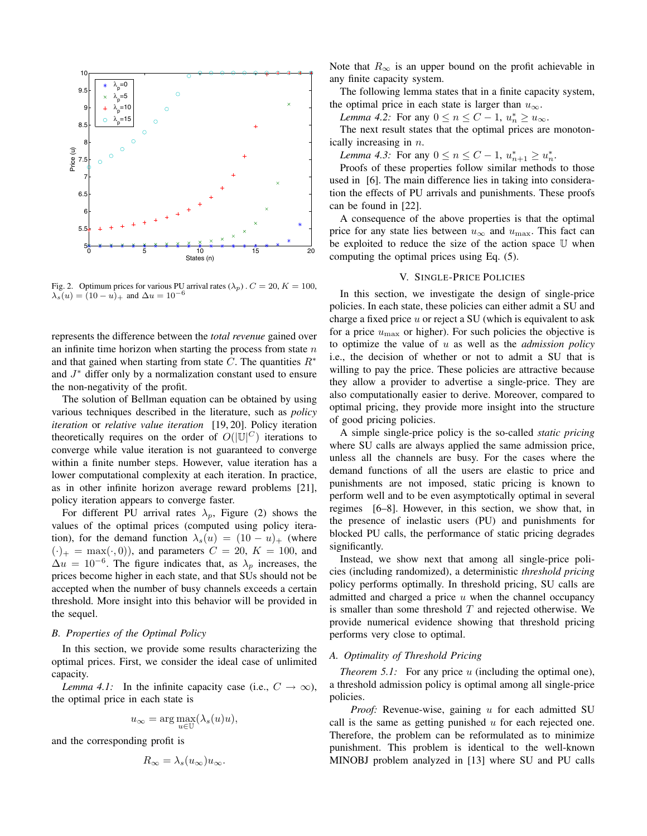

Fig. 2. Optimum prices for various PU arrival rates  $(\lambda_p)$ .  $C = 20$ ,  $K = 100$ ,  $\lambda_s(u) = (10 - u)_{+}$  and  $\Delta u = 10^{-6}$ 

represents the difference between the *total revenue* gained over an infinite time horizon when starting the process from state  $n$ and that gained when starting from state C. The quantities  $R^*$ and J<sup>∗</sup> differ only by a normalization constant used to ensure the non-negativity of the profit.

The solution of Bellman equation can be obtained by using various techniques described in the literature, such as *policy iteration* or *relative value iteration* [19, 20]. Policy iteration theoretically requires on the order of  $O(|U|^C)$  iterations to converge while value iteration is not quaranteed to converge converge while value iteration is not guaranteed to converge within a finite number steps. However, value iteration has a lower computational complexity at each iteration. In practice, as in other infinite horizon average reward problems [21], policy iteration appears to converge faster.

For different PU arrival rates  $\lambda_p$ , Figure (2) shows the values of the optimal prices (computed using policy iteration), for the demand function  $\lambda_s(u) = (10 - u)_+$  (where  $(\cdot)_{+} = \max(\cdot, 0)$ , and parameters  $C = 20$ ,  $K = 100$ , and  $\Delta u = 10^{-6}$ . The figure indicates that, as  $\lambda_p$  increases, the prices become higher in each state, and that SUs should not be accepted when the number of busy channels exceeds a certain threshold. More insight into this behavior will be provided in the sequel.

## *B. Properties of the Optimal Policy*

In this section, we provide some results characterizing the optimal prices. First, we consider the ideal case of unlimited capacity.

*Lemma 4.1:* In the infinite capacity case (i.e.,  $C \rightarrow \infty$ ), the optimal price in each state is

$$
u_{\infty} = \arg \max_{u \in \mathbb{U}} (\lambda_s(u)u),
$$

and the corresponding profit is

$$
R_{\infty} = \lambda_s(u_{\infty})u_{\infty}.
$$

Note that  $R_{\infty}$  is an upper bound on the profit achievable in any finite capacity system.

The following lemma states that in a finite capacity system, the optimal price in each state is larger than  $u_{\infty}$ .

*Lemma 4.2:* For any  $0 \le n \le C - 1$ ,  $u_n^* \ge u_\infty$ .<br>The next result states that the optimal prices are

The next result states that the optimal prices are monotonically increasing in n.

*Lemma 4.3:* For any  $0 \le n \le C - 1$ ,  $u_{n+1}^* \ge u_n^*$ .<br>Proofs of these properties follow similar methods

Proofs of these properties follow similar methods to those used in [6]. The main difference lies in taking into consideration the effects of PU arrivals and punishments. These proofs can be found in [22].

A consequence of the above properties is that the optimal price for any state lies between  $u_{\infty}$  and  $u_{\max}$ . This fact can be exploited to reduce the size of the action space U when computing the optimal prices using Eq. (5).

## V. SINGLE-PRICE POLICIES

In this section, we investigate the design of single-price policies. In each state, these policies can either admit a SU and charge a fixed price  $u$  or reject a SU (which is equivalent to ask for a price  $u_{\text{max}}$  or higher). For such policies the objective is to optimize the value of u as well as the *admission policy* i.e., the decision of whether or not to admit a SU that is willing to pay the price. These policies are attractive because they allow a provider to advertise a single-price. They are also computationally easier to derive. Moreover, compared to optimal pricing, they provide more insight into the structure of good pricing policies.

A simple single-price policy is the so-called *static pricing* where SU calls are always applied the same admission price, unless all the channels are busy. For the cases where the demand functions of all the users are elastic to price and punishments are not imposed, static pricing is known to perform well and to be even asymptotically optimal in several regimes [6–8]. However, in this section, we show that, in the presence of inelastic users (PU) and punishments for blocked PU calls, the performance of static pricing degrades significantly.

Instead, we show next that among all single-price policies (including randomized), a deterministic *threshold pricing* policy performs optimally. In threshold pricing, SU calls are admitted and charged a price  $u$  when the channel occupancy is smaller than some threshold  $T$  and rejected otherwise. We provide numerical evidence showing that threshold pricing performs very close to optimal.

# *A. Optimality of Threshold Pricing*

*Theorem 5.1:* For any price u (including the optimal one), a threshold admission policy is optimal among all single-price policies.

*Proof:* Revenue-wise, gaining u for each admitted SU call is the same as getting punished  $u$  for each rejected one. Therefore, the problem can be reformulated as to minimize punishment. This problem is identical to the well-known MINOBJ problem analyzed in [13] where SU and PU calls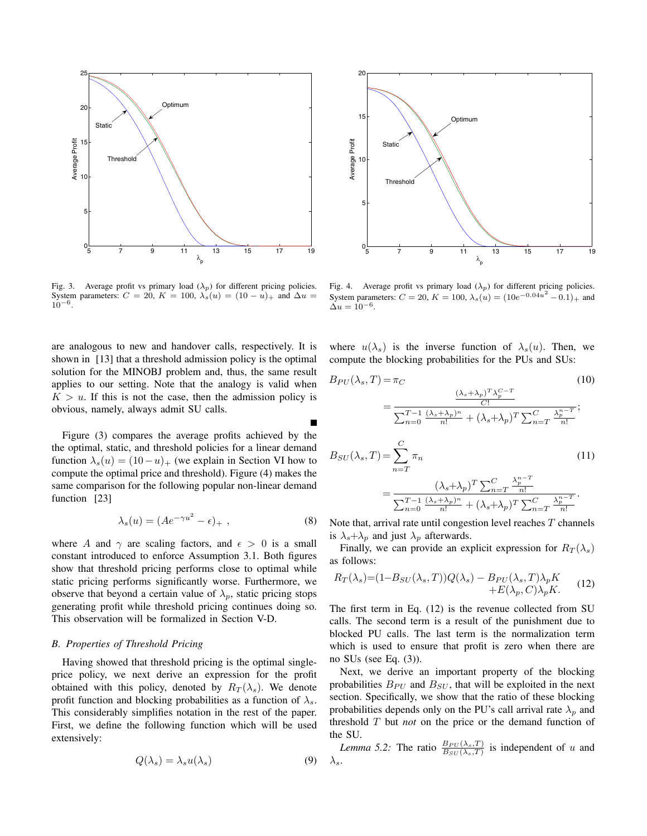

Fig. 3. Average profit vs primary load  $(\lambda_p)$  for different pricing policies. System parameters:  $C = 20$ ,  $K = 100$ ,  $\lambda_s(u) = (10 - u)_{+}$  and  $\Delta u =$ 10*−*6.

are analogous to new and handover calls, respectively. It is shown in [13] that a threshold admission policy is the optimal solution for the MINOBJ problem and, thus, the same result applies to our setting. Note that the analogy is valid when  $K > u$ . If this is not the case, then the admission policy is obvious, namely, always admit SU calls.

Figure (3) compares the average profits achieved by the the optimal, static, and threshold policies for a linear demand function  $\lambda_s(u) = (10-u)_+$  (we explain in Section VI how to compute the optimal price and threshold). Figure (4) makes the same comparison for the following popular non-linear demand function [23]

$$
\lambda_s(u) = (Ae^{-\gamma u^2} - \epsilon)_+ , \qquad (8)
$$

where A and  $\gamma$  are scaling factors, and  $\epsilon > 0$  is a small constant introduced to enforce Assumption 3.1. Both figures show that threshold pricing performs close to optimal while static pricing performs significantly worse. Furthermore, we observe that beyond a certain value of  $\lambda_p$ , static pricing stops generating profit while threshold pricing continues doing so. This observation will be formalized in Section V-D.

## *B. Properties of Threshold Pricing*

Having showed that threshold pricing is the optimal singleprice policy, we next derive an expression for the profit obtained with this policy, denoted by  $R_T(\lambda_s)$ . We denote profit function and blocking probabilities as a function of  $\lambda_s$ . This considerably simplifies notation in the rest of the paper. First, we define the following function which will be used extensively:

$$
Q(\lambda_s) = \lambda_s u(\lambda_s) \tag{9}
$$



Fig. 4. Average profit vs primary load  $(\lambda_p)$  for different pricing policies. System parameters:  $C = 20$ ,  $K = 100$ ,  $\lambda_s(u) = (10e^{-0.04u^2} - 0.1)_{+}$  and  $\Delta u = 10^{-6}$ .

where  $u(\lambda_s)$  is the inverse function of  $\lambda_s(u)$ . Then, we compute the blocking probabilities for the PUs and SUs:

$$
B_{PU}(\lambda_s, T) = \pi_C
$$
\n
$$
= \frac{\frac{(\lambda_s + \lambda_p)^T \lambda_p^{C-T}}{C!}}{\sum_{n=0}^{T-1} \frac{(\lambda_s + \lambda_p)^n}{n!} + (\lambda_s + \lambda_p)^T \sum_{n=T}^{C} \frac{\lambda_p^{n-T}}{n!}};
$$
\n
$$
B_{SU}(\lambda_s, T) = \sum_{n=T}^{C} \pi_n
$$
\n
$$
= \frac{(\lambda_s + \lambda_p)^T \sum_{n=T}^{C} \frac{\lambda_p^{n-T}}{n!}}{\sum_{n=0}^{T-1} \frac{(\lambda_s + \lambda_p)^n}{n!} + (\lambda_s + \lambda_p)^T \sum_{n=T}^{C} \frac{\lambda_p^{n-T}}{n!}}.
$$
\n(11)

Note that, arrival rate until congestion level reaches  $T$  channels is  $\lambda_s + \lambda_p$  and just  $\lambda_p$  afterwards.

Finally, we can provide an explicit expression for  $R_T(\lambda_s)$ as follows:

$$
R_T(\lambda_s) = (1 - B_{SU}(\lambda_s, T))Q(\lambda_s) - B_{PU}(\lambda_s, T)\lambda_p K + E(\lambda_p, C)\lambda_p K.
$$
 (12)

The first term in Eq. (12) is the revenue collected from SU calls. The second term is a result of the punishment due to blocked PU calls. The last term is the normalization term which is used to ensure that profit is zero when there are no SUs (see Eq. (3)).

Next, we derive an important property of the blocking probabilities  $B_{PU}$  and  $B_{SU}$ , that will be exploited in the next section. Specifically, we show that the ratio of these blocking probabilities depends only on the PU's call arrival rate  $\lambda_p$  and threshold T but *not* on the price or the demand function of the SU.

*Lemma 5.2:* The ratio  $\frac{B_{PU}(\lambda_s,T)}{B_{SU}(\lambda_s,T)}$  is independent of u and  $\lambda_s$ .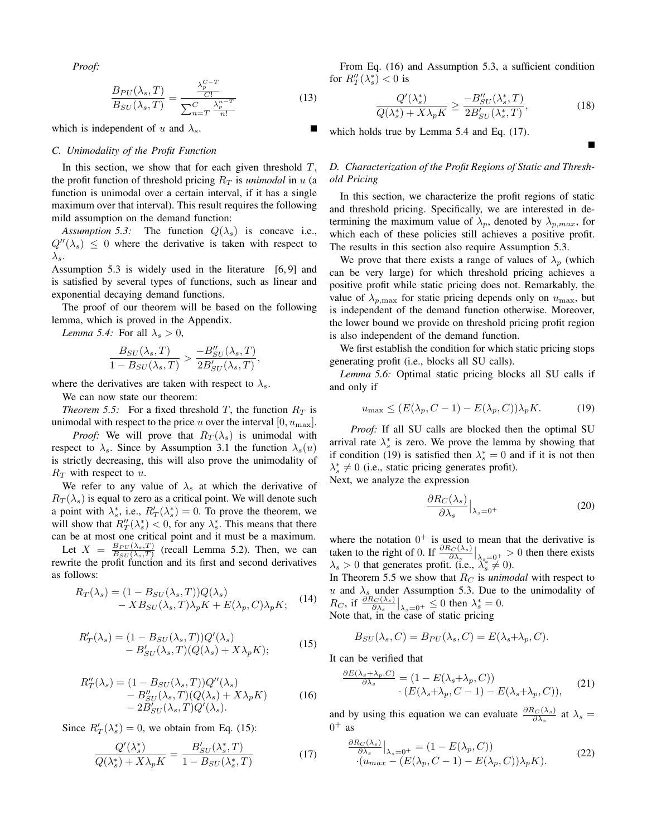*Proof:*

$$
\frac{B_{PU}(\lambda_s, T)}{B_{SU}(\lambda_s, T)} = \frac{\frac{\lambda_p^{C-T}}{C!}}{\sum_{n=T}^C \frac{\lambda_p^{n-T}}{n!}}
$$
(13)

which is independent of u and  $\lambda_s$ .

# *C. Unimodality of the Profit Function*

In this section, we show that for each given threshold  $T$ , the profit function of threshold pricing  $R_T$  is *unimodal* in u (a function is unimodal over a certain interval, if it has a single maximum over that interval). This result requires the following mild assumption on the demand function:

*Assumption 5.3:* The function  $Q(\lambda_s)$  is concave i.e.,  $Q''(\lambda_s) \leq 0$  where the derivative is taken with respect to  $\lambda_s$ .

Assumption 5.3 is widely used in the literature [6, 9] and is satisfied by several types of functions, such as linear and exponential decaying demand functions.

The proof of our theorem will be based on the following lemma, which is proved in the Appendix.

*Lemma 5.4:* For all  $\lambda_s > 0$ ,

$$
\frac{B_{SU}(\lambda_s,T)}{1 - B_{SU}(\lambda_s,T)} > \frac{-B''_{SU}(\lambda_s,T)}{2B'_{SU}(\lambda_s,T)},
$$

where the derivatives are taken with respect to  $\lambda_s$ .

We can now state our theorem:

*Theorem 5.5:* For a fixed threshold T, the function  $R_T$  is unimodal with respect to the price u over the interval  $[0, u_{\text{max}}]$ .

*Proof:* We will prove that  $R_T(\lambda_s)$  is unimodal with respect to  $\lambda_s$ . Since by Assumption 3.1 the function  $\lambda_s(u)$ is strictly decreasing, this will also prove the unimodality of  $R_T$  with respect to u.

We refer to any value of  $\lambda_s$  at which the derivative of  $R_T(\lambda_s)$  is equal to zero as a critical point. We will denote such a point with  $\lambda_s^*$ , i.e.,  $R'_T(\lambda_s^*) = 0$ . To prove the theorem, we will show that  $R''(\lambda^*) < 0$  for any  $\lambda^*$ . This means that there will show that  $R_T''(\lambda_s^*) < 0$ , for any  $\lambda_s^*$ . This means that there can be at most one critical point and it must be a maximum can be at most one critical point and it must be a maximum.

Let  $X = \frac{B_{PU}(\lambda_s,T)}{B_{SU}(\lambda_s,T)}$  (recall Lemma 5.2). Then, we can rewrite the profit function and its first and second derivatives as follows:

$$
R_T(\lambda_s) = (1 - B_{SU}(\lambda_s, T))Q(\lambda_s)
$$
  
-  $XB_{SU}(\lambda_s, T)\lambda_p K + E(\lambda_p, C)\lambda_p K;$  (14)

$$
R'_T(\lambda_s) = (1 - B_{SU}(\lambda_s, T))Q'(\lambda_s)
$$
  
- 
$$
B'_{SU}(\lambda_s, T)(Q(\lambda_s) + X\lambda_p K);
$$
 (15)

$$
R_T''(\lambda_s) = (1 - B_{SU}(\lambda_s, T))Q''(\lambda_s)
$$
  
- 
$$
B_{SU}'(\lambda_s, T)(Q(\lambda_s) + X\lambda_p K)
$$
  
- 
$$
2B_{SU}'(\lambda_s, T)Q'(\lambda_s).
$$
 (16)

Since  $R'_T(\lambda_s^*)=0$ , we obtain from Eq. (15):

$$
\frac{Q'(\lambda_s^*)}{Q(\lambda_s^*) + X\lambda_p K} = \frac{B'_{SU}(\lambda_s^*, T)}{1 - B_{SU}(\lambda_s^*, T)}
$$
(17)

From Eq. (16) and Assumption 5.3, a sufficient condition for  $R_T''(\lambda_s^*) < 0$  is

$$
\frac{Q'(\lambda_s^*)}{Q(\lambda_s^*) + X\lambda_p K} \ge \frac{-B''_{SU}(\lambda_s^*, T)}{2B'_{SU}(\lambda_s^*, T)},\tag{18}
$$

which holds true by Lemma 5.4 and Eq.  $(17)$ .

# *D. Characterization of the Profit Regions of Static and Threshold Pricing*

In this section, we characterize the profit regions of static and threshold pricing. Specifically, we are interested in determining the maximum value of  $\lambda_p$ , denoted by  $\lambda_{p,max}$ , for which each of these policies still achieves a positive profit. The results in this section also require Assumption 5.3.

We prove that there exists a range of values of  $\lambda_p$  (which can be very large) for which threshold pricing achieves a positive profit while static pricing does not. Remarkably, the value of  $\lambda_{p,\text{max}}$  for static pricing depends only on  $u_{\text{max}}$ , but is independent of the demand function otherwise. Moreover, the lower bound we provide on threshold pricing profit region is also independent of the demand function.

We first establish the condition for which static pricing stops generating profit (i.e., blocks all SU calls).

*Lemma 5.6:* Optimal static pricing blocks all SU calls if and only if

$$
u_{\max} \le (E(\lambda_p, C-1) - E(\lambda_p, C))\lambda_p K. \tag{19}
$$

*Proof:* If all SU calls are blocked then the optimal SU arrival rate  $\lambda_s^*$  is zero. We prove the lemma by showing that if condition (19) is satisfied then  $\lambda_s^* = 0$  and if it is not then  $\lambda^* \neq 0$  (i.e., static pricing generates profit)  $\lambda_s^* \neq 0$  (i.e., static pricing generates profit).<br>Next, we analyze the expression

Next, we analyze the expression

$$
\frac{\partial R_C(\lambda_s)}{\partial \lambda_s}\Big|_{\lambda_s=0^+}\tag{20}
$$

where the notation  $0^+$  is used to mean that the derivative is<br>taken to the right of 0. If  $\frac{\partial R_C(\lambda_s)}{\partial x}$  \ 0. 0 then there exists taken to the right of 0. If  $\frac{\partial R_C(\lambda_s)}{\partial \lambda_s} \Big|_{\lambda_s=0^+} > 0$  then there exists  $\lambda > 0$  that generates profit  $\hat{R} \in \lambda^* \neq 0$ .  $\lambda_s > 0$  that generates profit. (i.e.,  $\lambda_s^* \neq 0$ ).<br>In Theorem 5.5 we show that  $R_{\odot}$  is unimo

In Theorem 5.5 we show that  $R_C$  is *unimodal* with respect to u and  $\lambda_s$  under Assumption 5.3. Due to the unimodality of  $R_C$ , if  $\frac{\partial R_C(\lambda_s)}{\partial \lambda_s}|_{\lambda_s=0^+} \leq 0$  then  $\lambda_s^* = 0$ .<br>Note that, in the case of static pricing

$$
B_{SU}(\lambda_s, C) = B_{PU}(\lambda_s, C) = E(\lambda_s + \lambda_p, C).
$$

It can be verified that

$$
\frac{\partial E(\lambda_s + \lambda_p, C)}{\partial \lambda_s} = (1 - E(\lambda_s + \lambda_p, C))
$$
  
 
$$
\cdot (E(\lambda_s + \lambda_p, C - 1) - E(\lambda_s + \lambda_p, C)),
$$
 (21)

and by using this equation we can evaluate  $\frac{\partial R_C(\lambda_s)}{\partial \lambda_s}$  at  $\lambda_s = 0^+$  as  $0^+$  as

$$
\frac{\partial R_C(\lambda_s)}{\partial \lambda_s}\Big|_{\lambda_s=0^+} = (1 - E(\lambda_p, C))
$$
  
\n
$$
\cdot (u_{max} - (E(\lambda_p, C - 1) - E(\lambda_p, C))\lambda_p K).
$$
\n(22)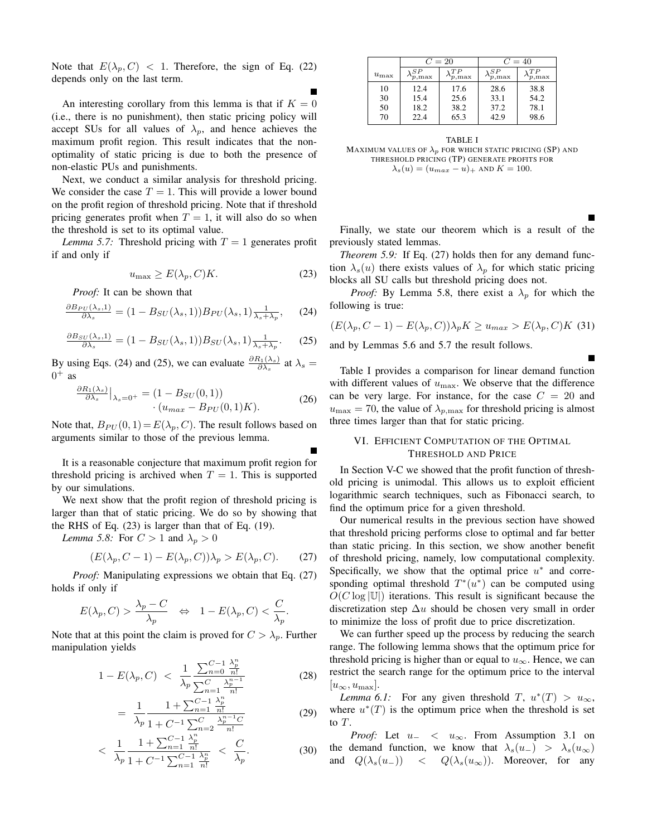Note that  $E(\lambda_p, C) < 1$ . Therefore, the sign of Eq. (22) depends only on the last term.

An interesting corollary from this lemma is that if  $K = 0$ (i.e., there is no punishment), then static pricing policy will accept SUs for all values of  $\lambda_p$ , and hence achieves the maximum profit region. This result indicates that the nonoptimality of static pricing is due to both the presence of non-elastic PUs and punishments.

Next, we conduct a similar analysis for threshold pricing. We consider the case  $T = 1$ . This will provide a lower bound on the profit region of threshold pricing. Note that if threshold pricing generates profit when  $T = 1$ , it will also do so when the threshold is set to its optimal value.

*Lemma 5.7:* Threshold pricing with  $T = 1$  generates profit if and only if

$$
u_{\max} \ge E(\lambda_p, C)K. \tag{23}
$$

п

*Proof:* It can be shown that

$$
\frac{\partial B_{PU}(\lambda_s,1)}{\partial \lambda_s} = (1 - B_{SU}(\lambda_s,1)) B_{PU}(\lambda_s,1) \frac{1}{\lambda_s + \lambda_p},\qquad(24)
$$

$$
\frac{\partial B_{SU}(\lambda_s,1)}{\partial \lambda_s} = (1 - B_{SU}(\lambda_s,1)) B_{SU}(\lambda_s,1) \frac{1}{\lambda_s + \lambda_p}.
$$
 (25)

By using Eqs. (24) and (25), we can evaluate  $\frac{\partial R_1(\lambda_s)}{\partial \lambda_s}$  at  $\lambda_s = 0^+$  as  $0^+$  as

$$
\frac{\partial R_1(\lambda_s)}{\partial \lambda_s}\Big|_{\lambda_s=0^+} = (1 - B_{SU}(0, 1))
$$
  
· $(u_{max} - B_{PU}(0, 1)K).$  (26)

Note that,  $B_{PU}(0, 1) = E(\lambda_p, C)$ . The result follows based on arguments similar to those of the previous lemma.

It is a reasonable conjecture that maximum profit region for threshold pricing is archived when  $T = 1$ . This is supported by our simulations.

We next show that the profit region of threshold pricing is larger than that of static pricing. We do so by showing that the RHS of Eq. (23) is larger than that of Eq. (19).

*Lemma 5.8:* For  $C > 1$  and  $\lambda_p > 0$ 

$$
(E(\lambda_p, C-1) - E(\lambda_p, C))\lambda_p > E(\lambda_p, C). \tag{27}
$$

*Proof:* Manipulating expressions we obtain that Eq. (27) holds if only if

$$
E(\lambda_p, C) > \frac{\lambda_p - C}{\lambda_p} \quad \Leftrightarrow \quad 1 - E(\lambda_p, C) < \frac{C}{\lambda_p}.
$$

Note that at this point the claim is proved for  $C > \lambda_p$ . Further manipulation yields

$$
1 - E(\lambda_p, C) < \frac{1}{\lambda_p} \frac{\sum_{n=0}^{C-1} \frac{\lambda_p^n}{n!}}{\sum_{n=1}^C \frac{\lambda_p^{n-1}}{n!}} \tag{28}
$$

$$
= \frac{1}{\lambda_p} \frac{1 + \sum_{n=1}^{C-1} \frac{\lambda_p^n}{n!}}{1 + C^{-1} \sum_{n=2}^{C} \frac{\lambda_p^{n-1} C}{n!}}
$$
(29)

$$
\langle \frac{1}{\lambda_p} \frac{1 + \sum_{n=1}^{C-1} \frac{\lambda_p^n}{n!}}{1 + C^{-1} \sum_{n=1}^{C-1} \frac{\lambda_p^n}{n!}} \rangle \langle \frac{C}{\lambda_p}.
$$
 (30)

|            | $C=20$                             |                                   | $C=40$        |                                   |  |  |  |  |
|------------|------------------------------------|-----------------------------------|---------------|-----------------------------------|--|--|--|--|
| $u_{\max}$ | S P<br>$\mathbf{v}_{p,\text{max}}$ | TР<br>$\mathbf{v}_{p,\text{max}}$ | S P<br>p, max | ΓP<br>$\mathbf{v}_{p,\text{max}}$ |  |  |  |  |
| 10         | 12.4                               | 17.6                              | 28.6          | 38.8                              |  |  |  |  |
| 30         | 15.4                               | 25.6                              | 33.1          | 54.2                              |  |  |  |  |
| 50         | 18.2                               | 38.2                              | 37.2          | 78.1                              |  |  |  |  |
| 70         | 22.4                               | 65.3                              | 42.9          | 98.6                              |  |  |  |  |
|            |                                    |                                   |               |                                   |  |  |  |  |

TABLE I MAXIMUM VALUES OF  $\lambda_p$  FOR WHICH STATIC PRICING (SP) AND THRESHOLD PRICING (TP) GENERATE PROFITS FOR  $\lambda_s(u) = (u_{max} - u)_{+}$  AND  $K = 100$ .

Finally, we state our theorem which is a result of the previously stated lemmas.

*Theorem 5.9:* If Eq. (27) holds then for any demand function  $\lambda_s(u)$  there exists values of  $\lambda_n$  for which static pricing blocks all SU calls but threshold pricing does not.

*Proof:* By Lemma 5.8, there exist a  $\lambda_p$  for which the following is true:

$$
(E(\lambda_p, C-1) - E(\lambda_p, C))\lambda_p K \ge u_{max} > E(\lambda_p, C)K
$$
 (31)

and by Lemmas 5.6 and 5.7 the result follows.

Table I provides a comparison for linear demand function with different values of  $u_{\text{max}}$ . We observe that the difference can be very large. For instance, for the case  $C = 20$  and  $u_{\text{max}} = 70$ , the value of  $\lambda_{p,\text{max}}$  for threshold pricing is almost three times larger than that for static pricing.

# VI. EFFICIENT COMPUTATION OF THE OPTIMAL THRESHOLD AND PRICE

In Section V-C we showed that the profit function of threshold pricing is unimodal. This allows us to exploit efficient logarithmic search techniques, such as Fibonacci search, to find the optimum price for a given threshold.

Our numerical results in the previous section have showed that threshold pricing performs close to optimal and far better than static pricing. In this section, we show another benefit of threshold pricing, namely, low computational complexity. Specifically, we show that the optimal price  $u^*$  and corresponding optimal threshold  $T^*(u^*)$  can be computed using  $O(C \log |\mathbb{U}|)$  iterations. This result is significant because the discretization step  $\Delta u$  should be chosen very small in order to minimize the loss of profit due to price discretization.

We can further speed up the process by reducing the search range. The following lemma shows that the optimum price for threshold pricing is higher than or equal to  $u_{\infty}$ . Hence, we can restrict the search range for the optimum price to the interval  $[u_{\infty}, u_{\max}].$ 

*Lemma 6.1:* For any given threshold  $T$ ,  $u^*(T) > u_{\infty}$ , where  $u^*(T)$  is the optimum price when the threshold is set to T.

*Proof:* Let u<sup>−</sup> < u∞. From Assumption 3.1 on the demand function, we know that  $\lambda_s(u_-) > \lambda_s(u_{\infty})$ and  $Q(\lambda_s(u_-))$  <  $Q(\lambda_s(u_\infty))$ . Moreover, for any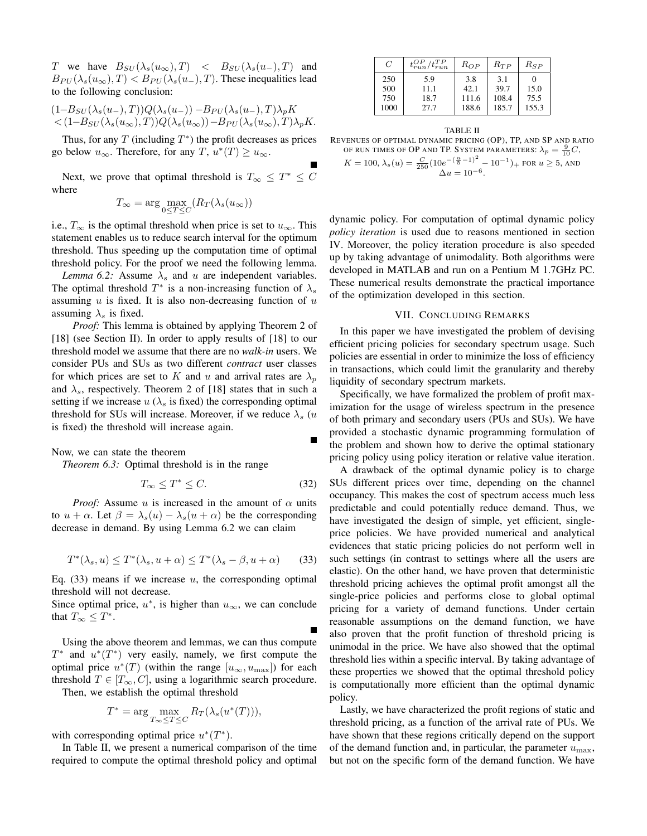T we have  $B_{SU}(\lambda_s(u_\infty), T) < B_{SU}(\lambda_s(u_-), T)$  and  $B_{PU}(\lambda_s(u_\infty), T) < B_{PU}(\lambda_s(u_-), T)$ . These inequalities lead to the following conclusion:

$$
\begin{aligned} & (1 - B_{SU}(\lambda_s(u_-), T)) Q(\lambda_s(u_-)) - B_{PU}(\lambda_s(u_-), T) \lambda_p K \\ &< (1 - B_{SU}(\lambda_s(u_\infty), T)) Q(\lambda_s(u_\infty)) - B_{PU}(\lambda_s(u_\infty), T) \lambda_p K. \end{aligned}
$$

Thus, for any  $T$  (including  $T^*$ ) the profit decreases as prices go below  $u_{\infty}$ . Therefore, for any  $T, u^*(T) \geq u_{\infty}$ .

Next, we prove that optimal threshold is  $T_{\infty} \leq T^* \leq C$ where

$$
T_{\infty} = \arg \max_{0 \le T \le C} (R_T(\lambda_s(u_{\infty}))
$$

i.e.,  $T_{\infty}$  is the optimal threshold when price is set to  $u_{\infty}$ . This statement enables us to reduce search interval for the optimum threshold. Thus speeding up the computation time of optimal threshold policy. For the proof we need the following lemma.

*Lemma 6.2:* Assume  $\lambda_s$  and u are independent variables. The optimal threshold  $T^*$  is a non-increasing function of  $\lambda_s$ assuming  $u$  is fixed. It is also non-decreasing function of  $u$ assuming  $\lambda_s$  is fixed.

*Proof:* This lemma is obtained by applying Theorem 2 of [18] (see Section II). In order to apply results of [18] to our threshold model we assume that there are no *walk-in* users. We consider PUs and SUs as two different *contract* user classes for which prices are set to K and u and arrival rates are  $\lambda_p$ and  $\lambda_s$ , respectively. Theorem 2 of [18] states that in such a setting if we increase  $u(\lambda_s)$  is fixed) the corresponding optimal threshold for SUs will increase. Moreover, if we reduce  $\lambda_s$  (u is fixed) the threshold will increase again.

Now, we can state the theorem

*Theorem 6.3:* Optimal threshold is in the range

$$
T_{\infty} \le T^* \le C. \tag{32}
$$

*Proof:* Assume u is increased in the amount of  $\alpha$  units to  $u + \alpha$ . Let  $\beta = \lambda_s(u) - \lambda_s(u + \alpha)$  be the corresponding decrease in demand. By using Lemma 6.2 we can claim

$$
T^*(\lambda_s, u) \le T^*(\lambda_s, u + \alpha) \le T^*(\lambda_s - \beta, u + \alpha) \tag{33}
$$

Eq.  $(33)$  means if we increase u, the corresponding optimal threshold will not decrease.

Since optimal price,  $u^*$ , is higher than  $u_{\infty}$ , we can conclude that  $T_{\infty} \leq T^*$ .

Using the above theorem and lemmas, we can thus compute  $T^*$  and  $u^*(T^*)$  very easily, namely, we first compute the optimal price  $u^*(T)$  (within the range  $[u_{\infty}, u_{\max}]$ ) for each threshold  $T \in [T_\infty, C]$ , using a logarithmic search procedure. Then, we establish the optimal threshold

$$
T^* = \arg\max_{T_{\infty} \le T \le C} R_T(\lambda_s(u^*(T))),
$$

with corresponding optimal price  $u^*(T^*)$ .

In Table II, we present a numerical comparison of the time required to compute the optimal threshold policy and optimal

| $\overline{C}$            | $t_{run}^{OP}/t_{run}^{TP}$ | $R_{OP}$                      | $R_{TP}$                      | $R_{SP}$              |
|---------------------------|-----------------------------|-------------------------------|-------------------------------|-----------------------|
| 250<br>500<br>750<br>1000 | 5.9<br>11.1<br>18.7<br>27.7 | 3.8<br>42.1<br>111.6<br>188.6 | 3.1<br>39.7<br>108.4<br>185.7 | 15.0<br>75.5<br>155.3 |

TABLE II REVENUES OF OPTIMAL DYNAMIC PRICING (OP), TP, AND SP AND RATIO OF RUN TIMES OF OP AND TP. SYSTEM PARAMETERS:  $\lambda_p = \frac{9}{10}C$ ,  $K = 100, \lambda_s(u) = \frac{C}{250} (10e^{-(\frac{u}{5}-1)^2} - 10^{-1})_+$  FOR  $u \ge 5$ , AND<br>  $\Delta u = 10^{-6}$ .

dynamic policy. For computation of optimal dynamic policy *policy iteration* is used due to reasons mentioned in section IV. Moreover, the policy iteration procedure is also speeded up by taking advantage of unimodality. Both algorithms were developed in MATLAB and run on a Pentium M 1.7GHz PC. These numerical results demonstrate the practical importance of the optimization developed in this section.

## VII. CONCLUDING REMARKS

In this paper we have investigated the problem of devising efficient pricing policies for secondary spectrum usage. Such policies are essential in order to minimize the loss of efficiency in transactions, which could limit the granularity and thereby liquidity of secondary spectrum markets.

Specifically, we have formalized the problem of profit maximization for the usage of wireless spectrum in the presence of both primary and secondary users (PUs and SUs). We have provided a stochastic dynamic programming formulation of the problem and shown how to derive the optimal stationary pricing policy using policy iteration or relative value iteration.

A drawback of the optimal dynamic policy is to charge SUs different prices over time, depending on the channel occupancy. This makes the cost of spectrum access much less predictable and could potentially reduce demand. Thus, we have investigated the design of simple, yet efficient, singleprice policies. We have provided numerical and analytical evidences that static pricing policies do not perform well in such settings (in contrast to settings where all the users are elastic). On the other hand, we have proven that deterministic threshold pricing achieves the optimal profit amongst all the single-price policies and performs close to global optimal pricing for a variety of demand functions. Under certain reasonable assumptions on the demand function, we have also proven that the profit function of threshold pricing is unimodal in the price. We have also showed that the optimal threshold lies within a specific interval. By taking advantage of these properties we showed that the optimal threshold policy is computationally more efficient than the optimal dynamic policy.

Lastly, we have characterized the profit regions of static and threshold pricing, as a function of the arrival rate of PUs. We have shown that these regions critically depend on the support of the demand function and, in particular, the parameter  $u_{\text{max}}$ , but not on the specific form of the demand function. We have